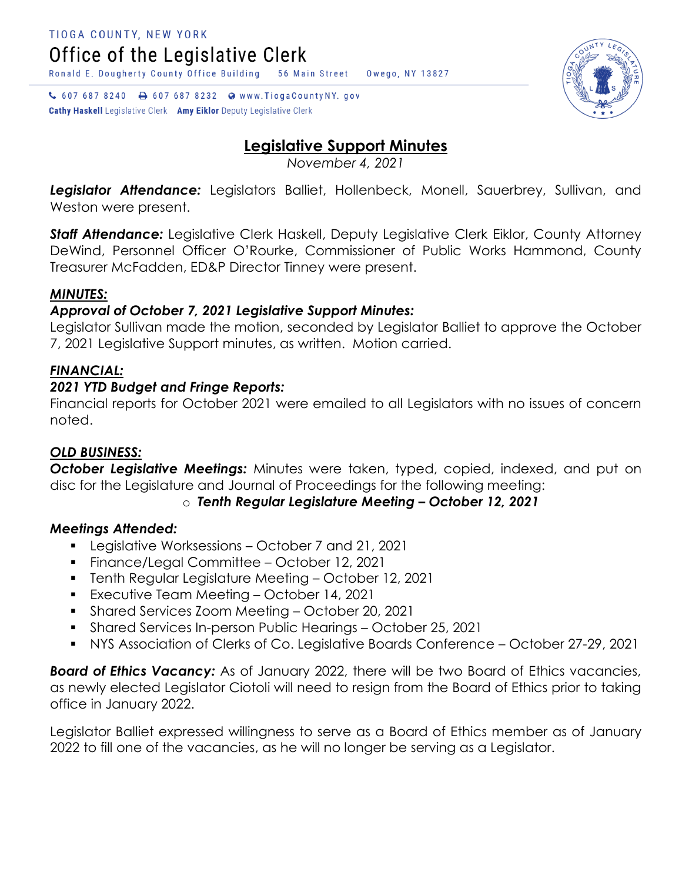↓ 607 687 8240 → 607 687 8232 → www.TiogaCountyNY.gov **Cathy Haskell** Legislative Clerk Amy Eiklor Deputy Legislative Clerk



Owego, NY 13827

*November 4, 2021*

*Legislator Attendance:* Legislators Balliet, Hollenbeck, Monell, Sauerbrey, Sullivan, and Weston were present.

*Staff Attendance:* Legislative Clerk Haskell, Deputy Legislative Clerk Eiklor, County Attorney DeWind, Personnel Officer O'Rourke, Commissioner of Public Works Hammond, County Treasurer McFadden, ED&P Director Tinney were present.

### *MINUTES:*

### *Approval of October 7, 2021 Legislative Support Minutes:*

Legislator Sullivan made the motion, seconded by Legislator Balliet to approve the October 7, 2021 Legislative Support minutes, as written. Motion carried.

## *FINANCIAL:*

### *2021 YTD Budget and Fringe Reports:*

Financial reports for October 2021 were emailed to all Legislators with no issues of concern noted.

### *OLD BUSINESS:*

**October Legislative Meetings:** Minutes were taken, typed, copied, indexed, and put on disc for the Legislature and Journal of Proceedings for the following meeting:

o *Tenth Regular Legislature Meeting – October 12, 2021*

### *Meetings Attended:*

- Legislative Worksessions October 7 and 21, 2021
- Finance/Legal Committee October 12, 2021
- Tenth Regular Legislature Meeting October 12, 2021
- **Executive Team Meeting October 14, 2021**
- **Shared Services Zoom Meeting October 20, 2021**
- Shared Services In-person Public Hearings October 25, 2021
- NYS Association of Clerks of Co. Legislative Boards Conference October 27-29, 2021

*Board of Ethics Vacancy:* As of January 2022, there will be two Board of Ethics vacancies, as newly elected Legislator Ciotoli will need to resign from the Board of Ethics prior to taking office in January 2022.

Legislator Balliet expressed willingness to serve as a Board of Ethics member as of January 2022 to fill one of the vacancies, as he will no longer be serving as a Legislator.

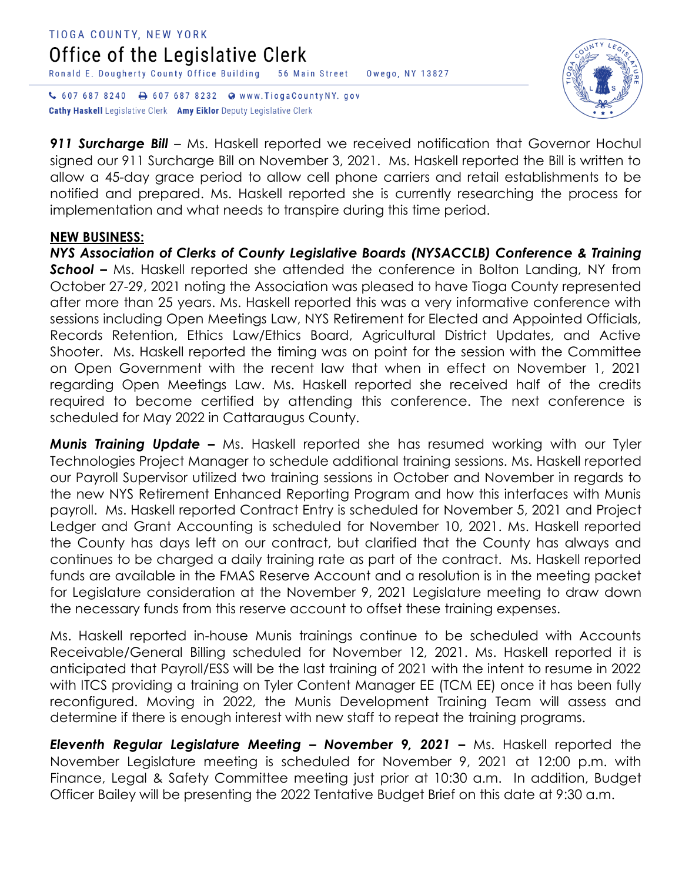#### TIOGA COUNTY, NEW YORK Office of the Legislative Clerk Ronald E. Dougherty County Office Building 56 Main Street Owego, NY 13827

↓ 607 687 8240 → 607 687 8232 → www.TiogaCountyNY.gov **Cathy Haskell** Legislative Clerk Amy Eiklor Deputy Legislative Clerk



**911 Surcharge Bill** – Ms. Haskell reported we received notification that Governor Hochul signed our 911 Surcharge Bill on November 3, 2021. Ms. Haskell reported the Bill is written to allow a 45-day grace period to allow cell phone carriers and retail establishments to be notified and prepared. Ms. Haskell reported she is currently researching the process for implementation and what needs to transpire during this time period.

### **NEW BUSINESS:**

*NYS Association of Clerks of County Legislative Boards (NYSACCLB) Conference & Training*  **School** – Ms. Haskell reported she attended the conference in Bolton Landing, NY from October 27-29, 2021 noting the Association was pleased to have Tioga County represented after more than 25 years. Ms. Haskell reported this was a very informative conference with sessions including Open Meetings Law, NYS Retirement for Elected and Appointed Officials, Records Retention, Ethics Law/Ethics Board, Agricultural District Updates, and Active Shooter. Ms. Haskell reported the timing was on point for the session with the Committee on Open Government with the recent law that when in effect on November 1, 2021 regarding Open Meetings Law. Ms. Haskell reported she received half of the credits required to become certified by attending this conference. The next conference is scheduled for May 2022 in Cattaraugus County.

*Munis Training Update –* Ms. Haskell reported she has resumed working with our Tyler Technologies Project Manager to schedule additional training sessions. Ms. Haskell reported our Payroll Supervisor utilized two training sessions in October and November in regards to the new NYS Retirement Enhanced Reporting Program and how this interfaces with Munis payroll. Ms. Haskell reported Contract Entry is scheduled for November 5, 2021 and Project Ledger and Grant Accounting is scheduled for November 10, 2021. Ms. Haskell reported the County has days left on our contract, but clarified that the County has always and continues to be charged a daily training rate as part of the contract. Ms. Haskell reported funds are available in the FMAS Reserve Account and a resolution is in the meeting packet for Legislature consideration at the November 9, 2021 Legislature meeting to draw down the necessary funds from this reserve account to offset these training expenses.

Ms. Haskell reported in-house Munis trainings continue to be scheduled with Accounts Receivable/General Billing scheduled for November 12, 2021. Ms. Haskell reported it is anticipated that Payroll/ESS will be the last training of 2021 with the intent to resume in 2022 with ITCS providing a training on Tyler Content Manager EE (TCM EE) once it has been fully reconfigured. Moving in 2022, the Munis Development Training Team will assess and determine if there is enough interest with new staff to repeat the training programs.

*Eleventh Regular Legislature Meeting – November 9, 2021 –* Ms. Haskell reported the November Legislature meeting is scheduled for November 9, 2021 at 12:00 p.m. with Finance, Legal & Safety Committee meeting just prior at 10:30 a.m. In addition, Budget Officer Bailey will be presenting the 2022 Tentative Budget Brief on this date at 9:30 a.m.